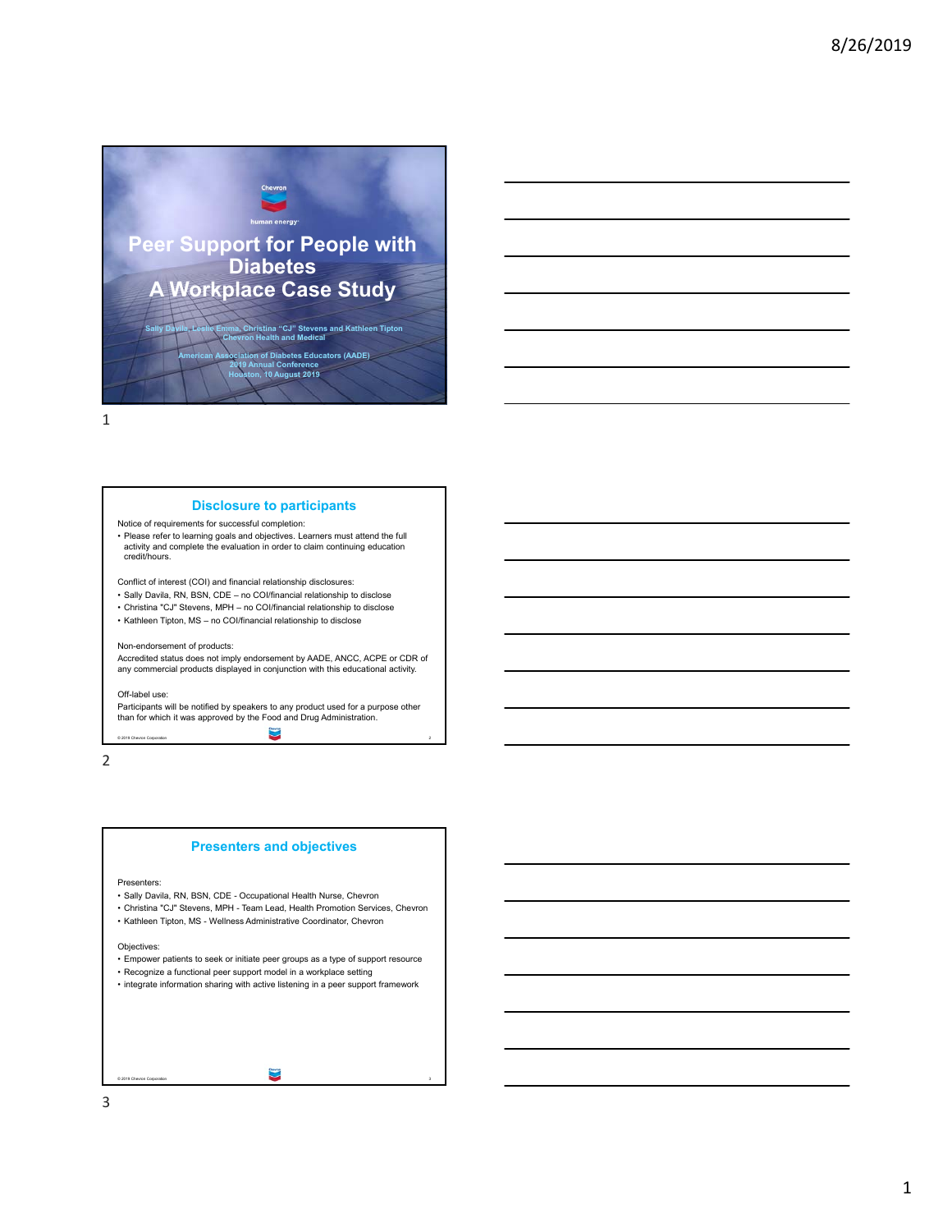

## **Disclosure to participants**

Notice of requirements for successful completion: • Please refer to learning goals and objectives. Learners must attend the full activity and complete the evaluation in order to claim continuing education credit/hours.

Conflict of interest (COI) and financial relationship disclosures:

- Sally Davila, RN, BSN, CDE no COI/financial relationship to disclose
- Christina "CJ" Stevens, MPH no COI/financial relationship to disclose
- Kathleen Tipton, MS no COI/financial relationship to disclose

## Non-endorsement of products:

Accredited status does not imply endorsement by AADE, ANCC, ACPE or CDR of any commercial products displayed in conjunction with this educational activity.

### Off-label use:

© 2019 Chevron Corporation 2 Participants will be notified by speakers to any product used for a purpose other than for which it was approved by the Food and Drug Administration.

2



© 2019 Chevron Corporation 3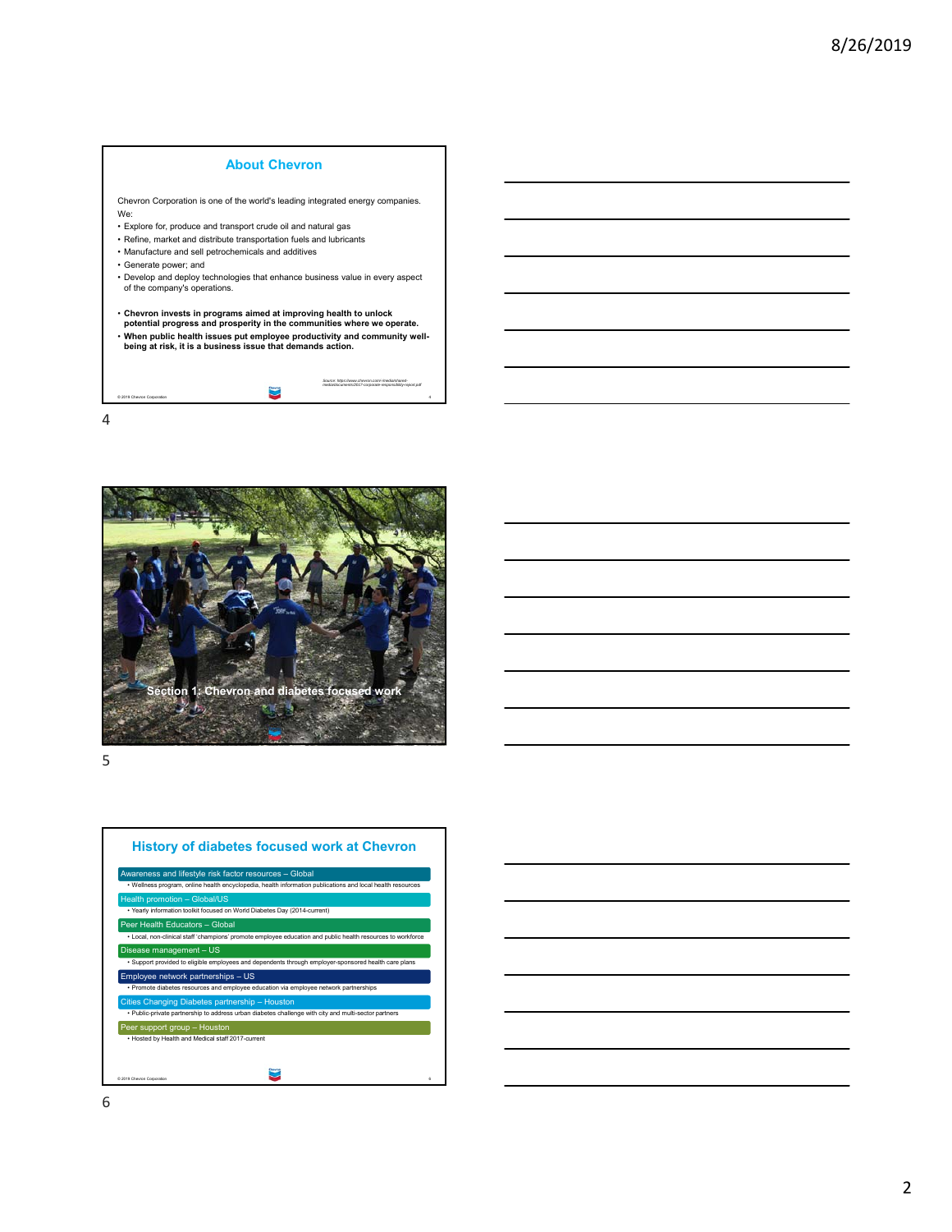

Chevron Corporation is one of the world's leading integrated energy companies. We: • Explore for, produce and transport crude oil and natural gas • Refine, market and distribute transportation fuels and lubricants • Manufacture and sell petrochemicals and additives

- Generate power; and
- Develop and deploy technologies that enhance business value in every aspect of the company's operations.

| • Chevron invests in programs aimed at improving health to unlock         |
|---------------------------------------------------------------------------|
| potential progress and prosperity in the communities where we operate.    |
| . When public health issues put employee productivity and community well- |
| being at risk, it is a business issue that demands action.                |
|                                                                           |
|                                                                           |

© 2019 Chevron Corporation 4

*Source: https://www.chevron.com/-/media/shared-media/documents/2017-corporate-responsibility-report.pdf*



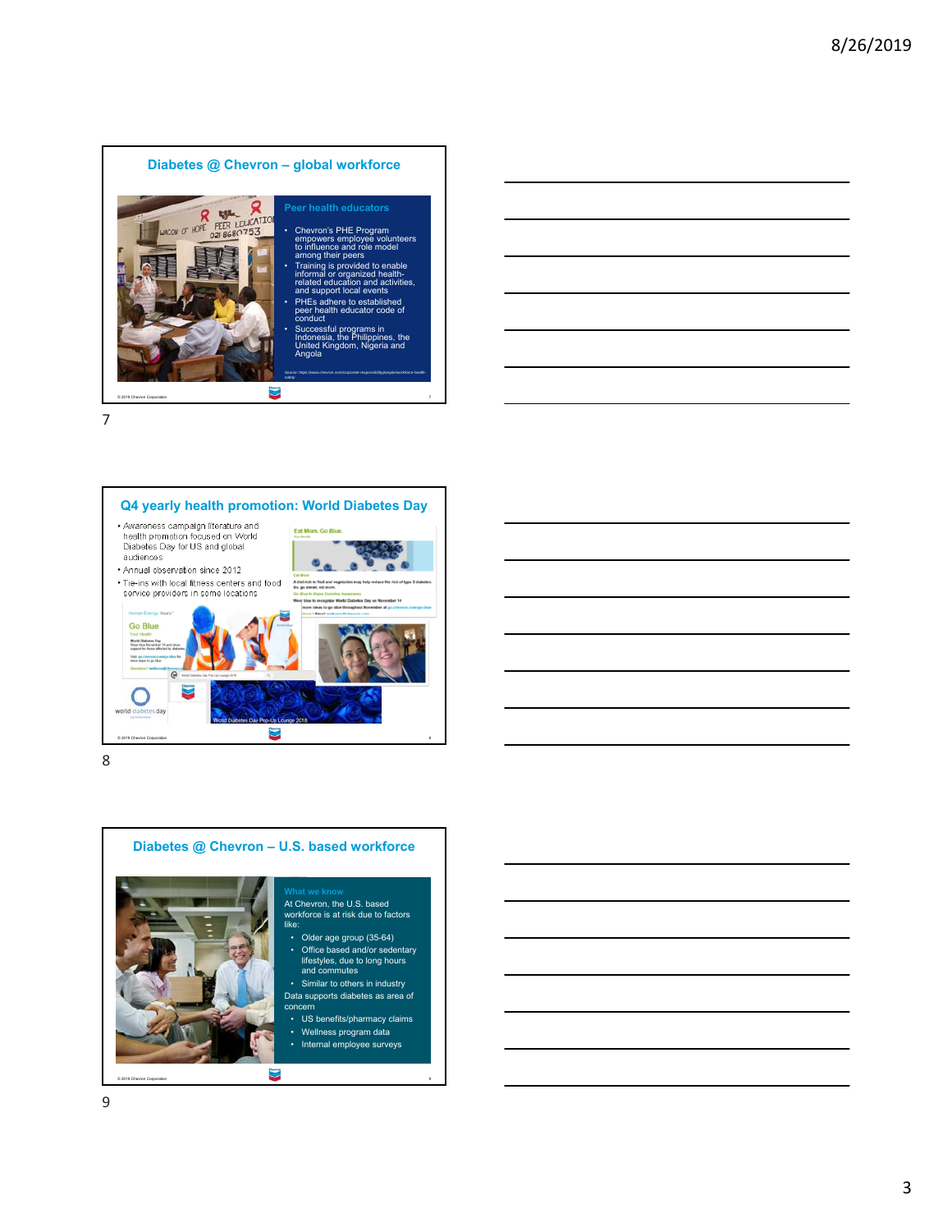



8



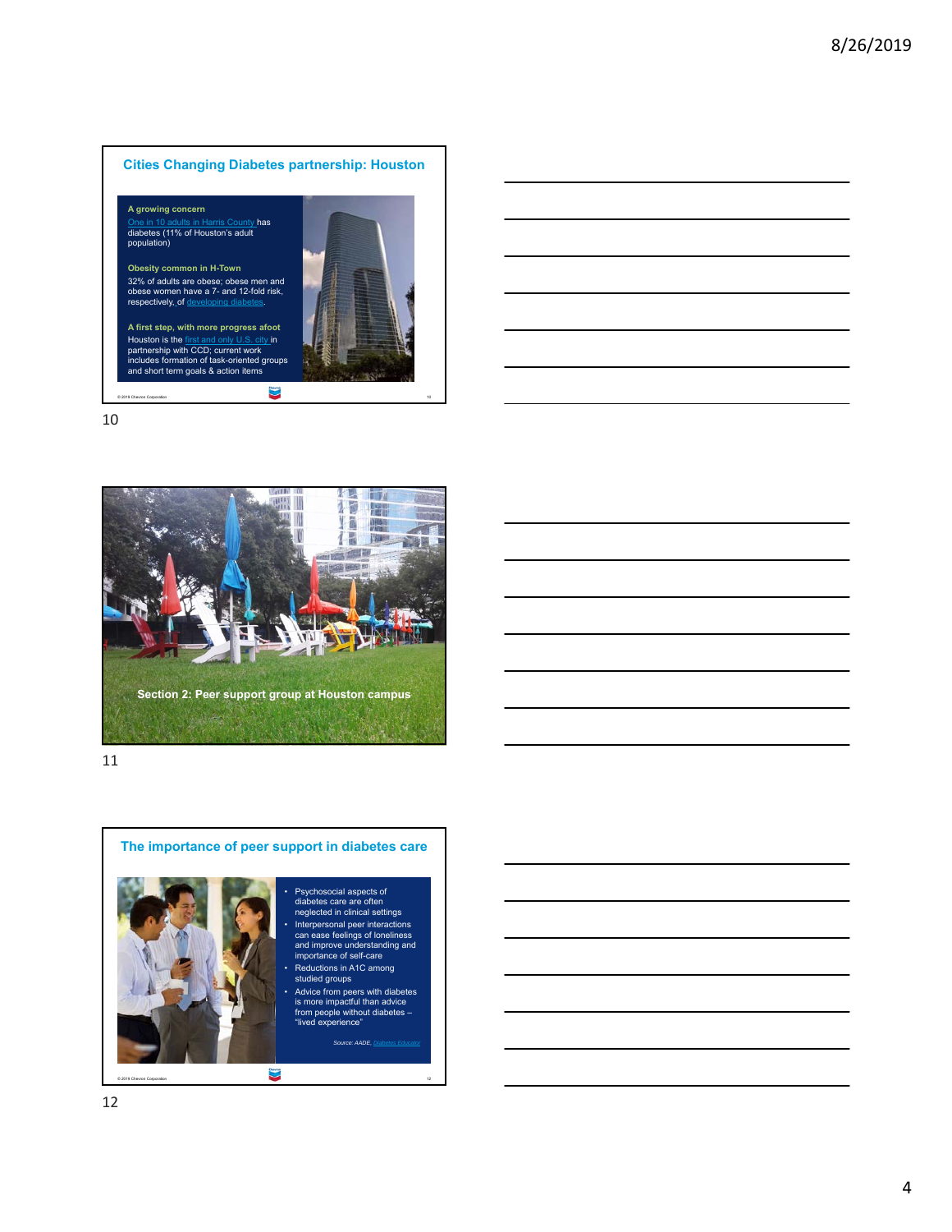







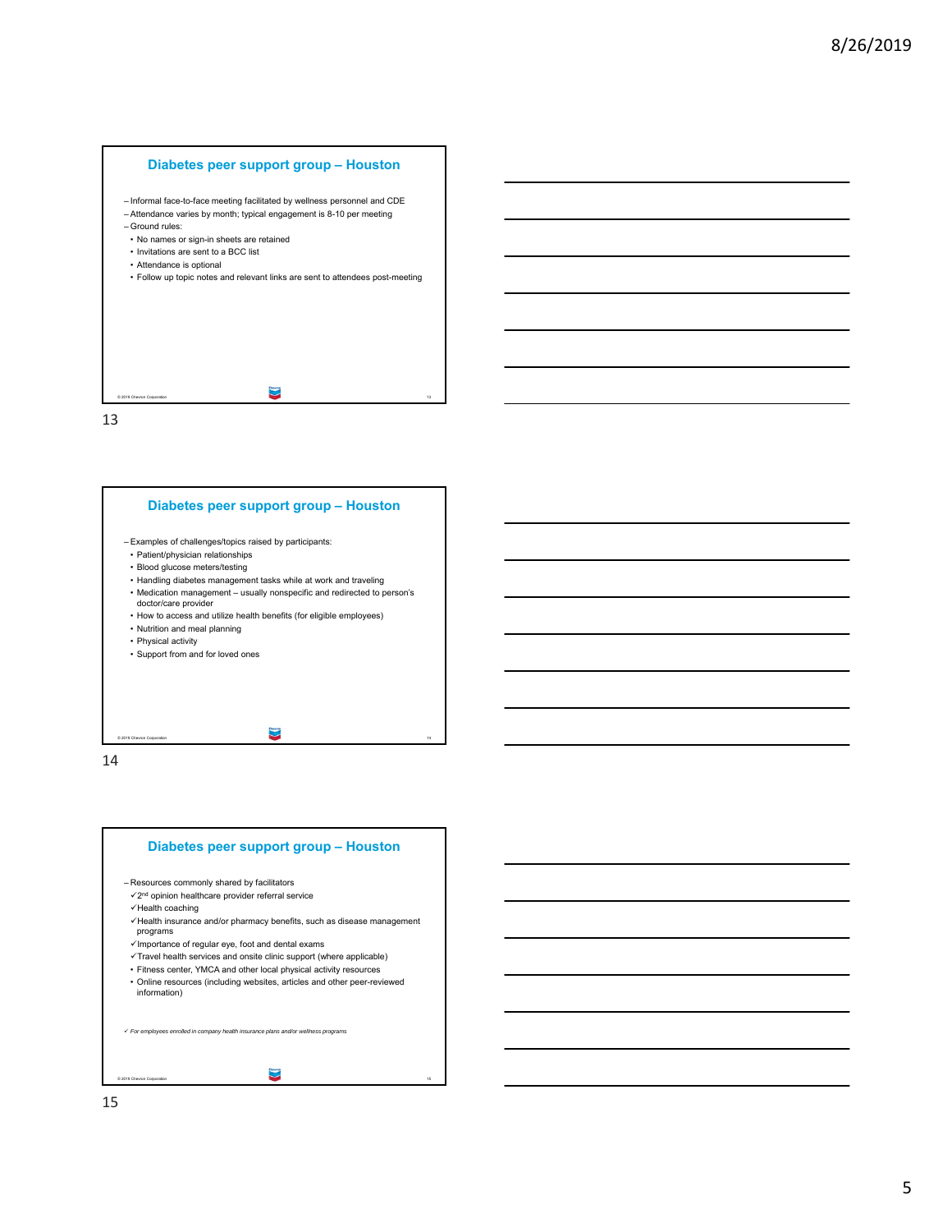

# **Diabetes peer support group – Houston**



- Patient/physician relationships
- Blood glucose meters/testing
- Handling diabetes management tasks while at work and traveling
- Medication management usually nonspecific and redirected to person's doctor/care provider
- How to access and utilize health benefits (for eligible employees)
- Nutrition and meal planning
- Physical activity
- Support from and for loved ones

© 2019 Chevron Corporation 14

14

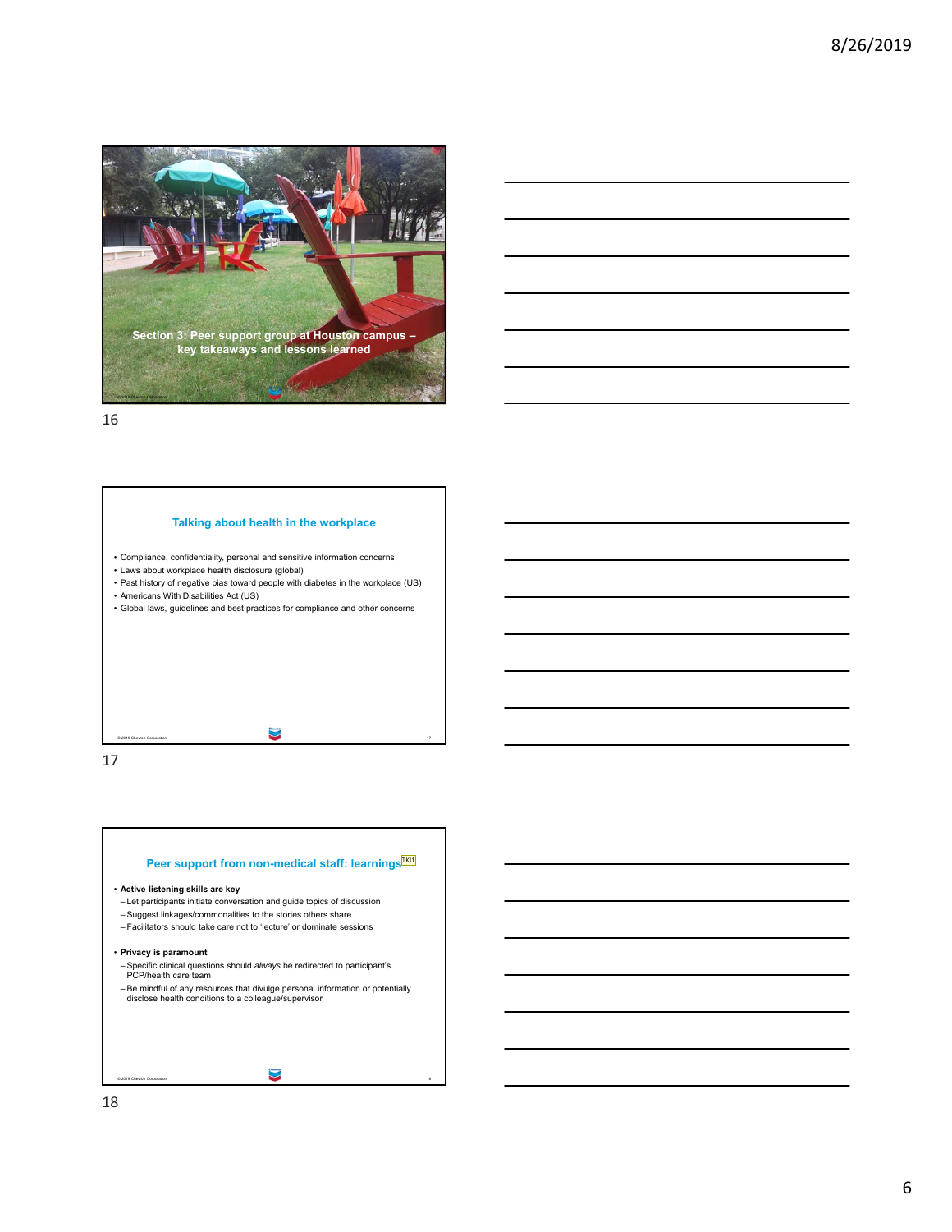



© 2019 Chevron Corporation 17

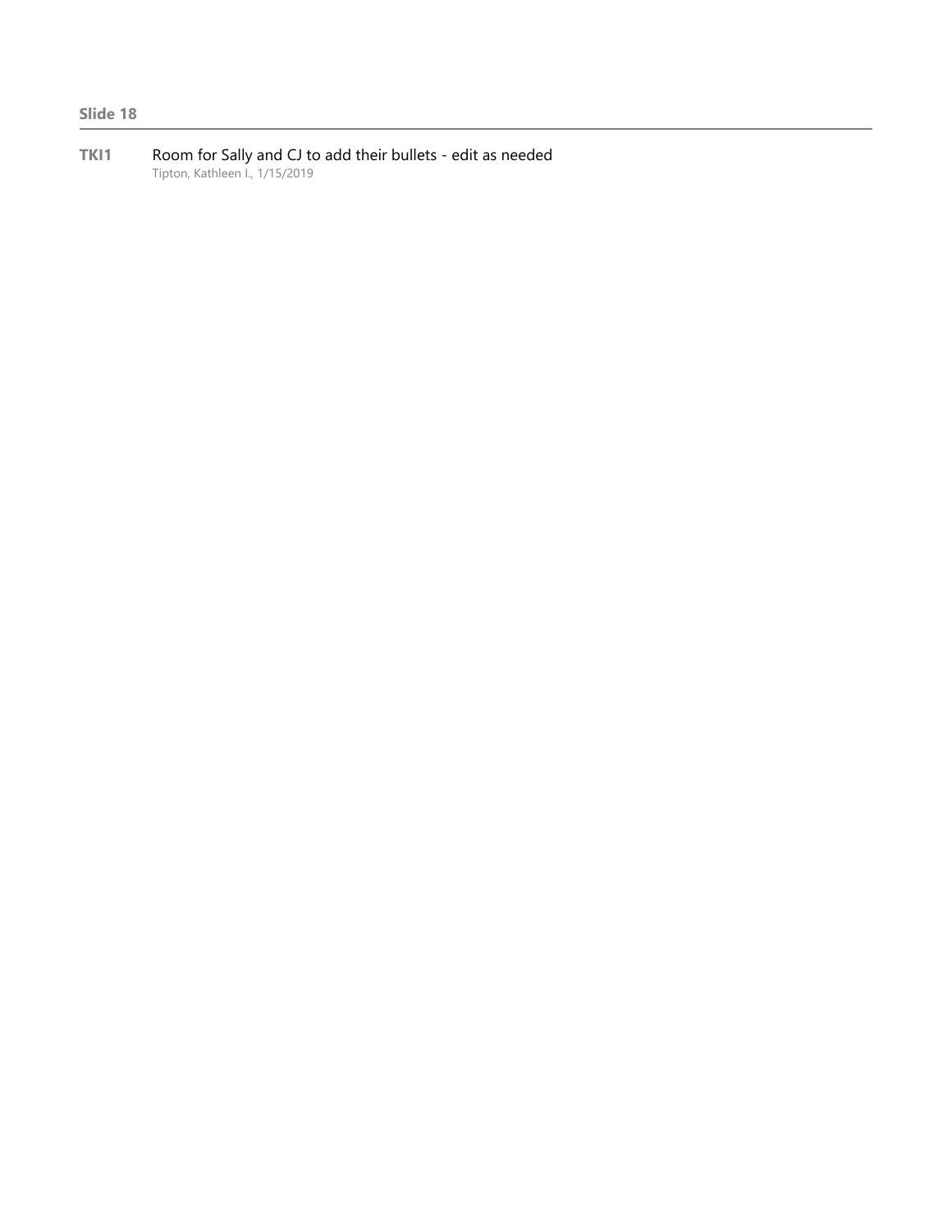**TKI1** Room for Sally and CJ to add their bullets - edit as needed Tipton, Kathleen I., 1/15/2019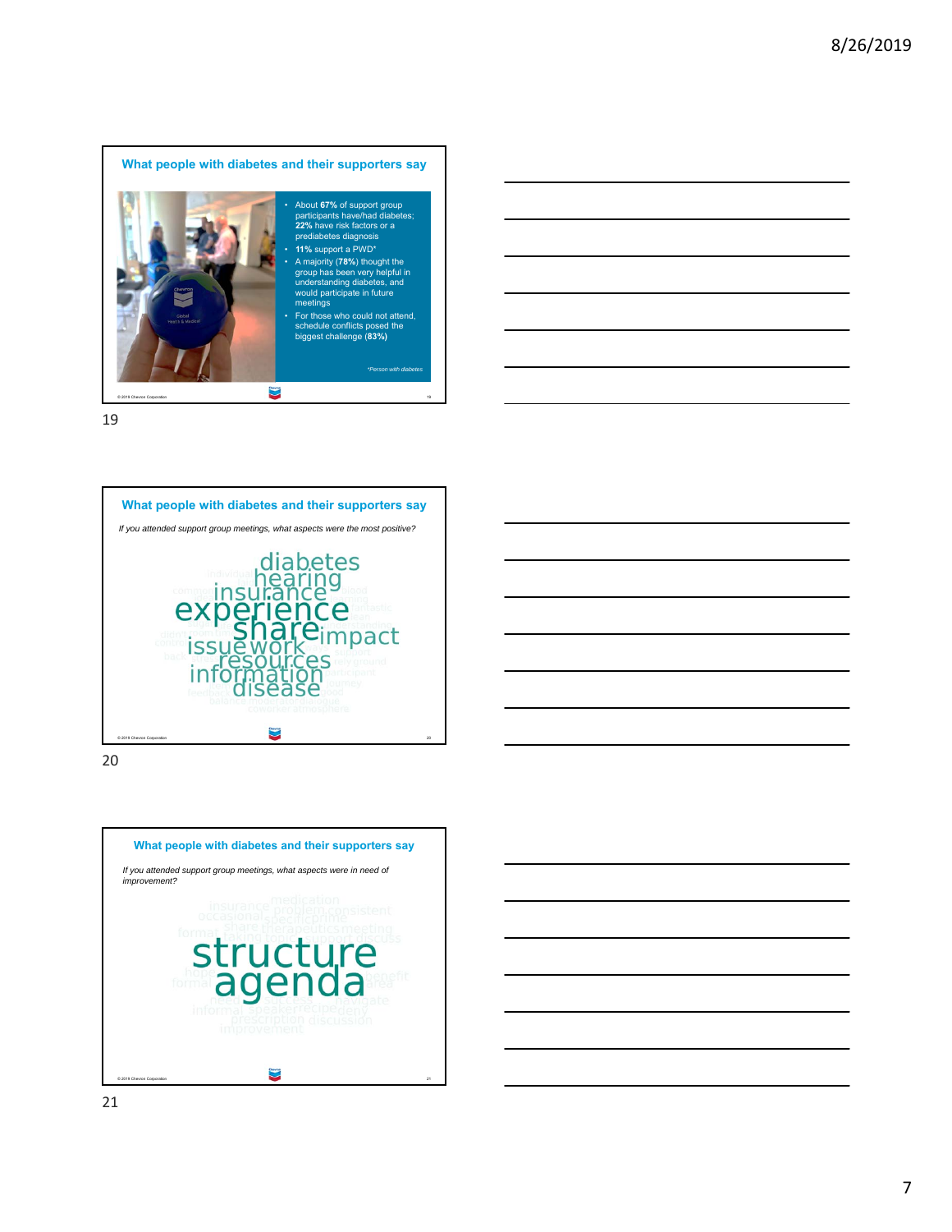